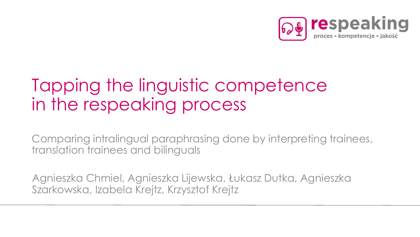

#### Tapping the linguistic competence in the respeaking process

Comparing intralingual paraphrasing done by interpreting trainees, translation trainees and bilinguals

Agnieszka Chmiel, Agnieszka Lijewska, Łukasz Dutka, Agnieszka Szarkowska, Izabela Krejtz, Krzysztof Krejtz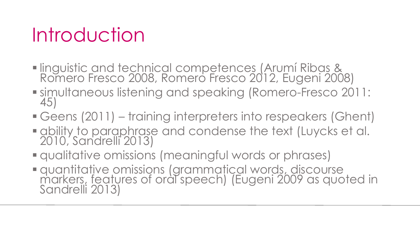#### Introduction

- **Inguistic and technical competences (Arumí Ribas &** Romero Fresco 2008, Romero Fresco 2012, Eugeni 2008)
- simultaneous listening and speaking (Romero-Fresco 2011: 45)
- Geens (2011) training interpreters into respeakers (Ghent)
- ability to paraphrase and condense the text (Luycks et al. 2010, Sandrelli 2013)
- qualitative omissions (meaningful words or phrases)
- quantitative omissions (grammatical words, discourse markers, features of oral speech) (Eugeni 2009 as quoted in Sandrelli 2013)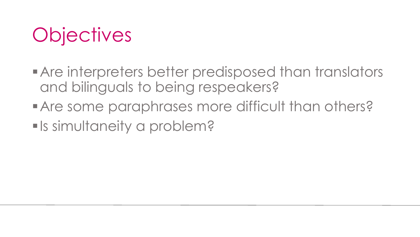

- **Are interpreters better predisposed than translators** and bilinguals to being respeakers?
- Are some paraphrases more difficult than others?
- **Is simultaneity a problem?**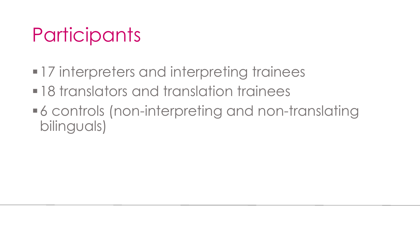### **Participants**

- **-17** interpreters and interpreting trainees
- **-18 translators and translation trainees**
- 6 controls (non-interpreting and non-translating bilinguals)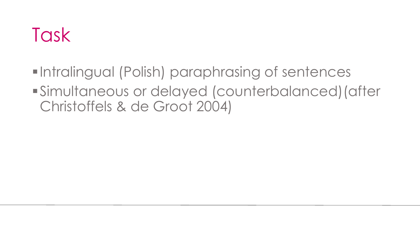#### Task

**-Intralingual (Polish) paraphrasing of sentences** Simultaneous or delayed (counterbalanced)(after Christoffels & de Groot 2004)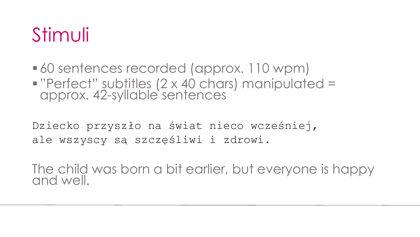#### Stimuli

 60 sentences recorded (approx. 110 wpm) "Perfect" subtitles (2 x 40 chars) manipulated = approx. 42-syllable sentences

Dziecko przyszło na świat nieco wcześniej, ale wszyscy są szczęśliwi i zdrowi.

The child was born a bit earlier, but everyone is happy and well.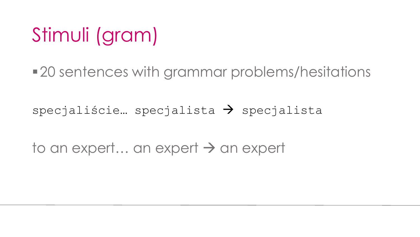### Stimuli (gram)

■ 20 sentences with grammar problems/hesitations

specjaliście... specjalista  $\rightarrow$  specjalista

to an expert… an expert  $\rightarrow$  an expert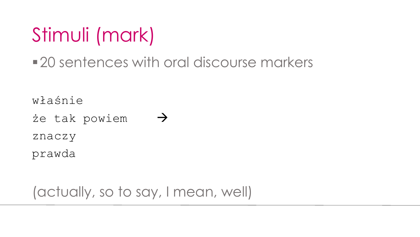## Stimuli (mark)

20 sentences with oral discourse markers

właśnie

że tak powiem  $\rightarrow$ znaczy prawda

(actually, so to say, I mean, well)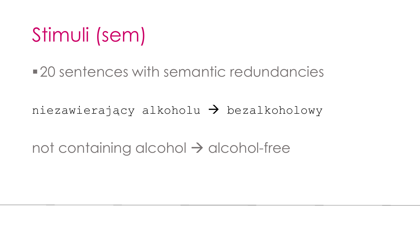#### Stimuli (sem)

20 sentences with semantic redundancies

niezawierający alkoholu  $\rightarrow$  bezalkoholowy

not containing alcohol  $\rightarrow$  alcohol-free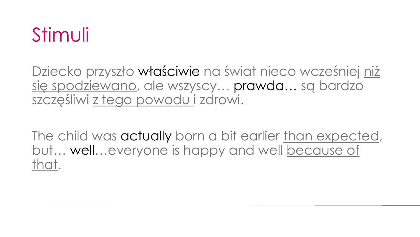#### Stimuli

Dziecko przyszło właściwie na świat nieco wcześniej niż się spodziewano, ale wszyscy… prawda… są bardzo szczęśliwi z tego powodu i zdrowi.

The child was actually born a bit earlier than expected, but… well…everyone is happy and well because of that.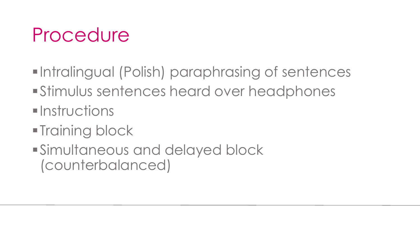#### Procedure

- **-Intralingual (Polish) paraphrasing of sentences**
- Stimulus sentences heard over headphones
- $\blacksquare$ Instructions
- **Training block**
- Simultaneous and delayed block (counterbalanced)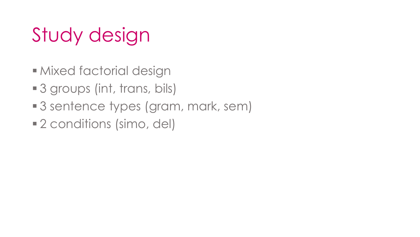## Study design

- **Mixed factorial design**
- 3 groups (int, trans, bils)
- 3 sentence types (gram, mark, sem)
- 2 conditions (simo, del)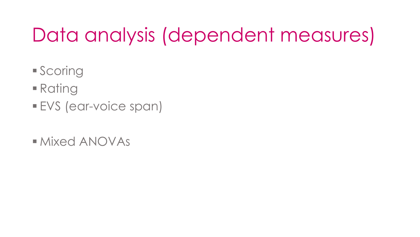## Data analysis (dependent measures)

- **Scoring**
- Rating
- EVS (ear-voice span)
- Mixed ANOVAs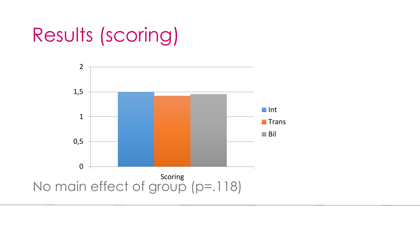### Results (scoring)

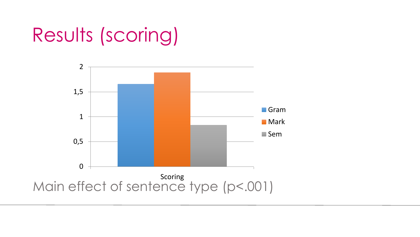### Results (scoring)

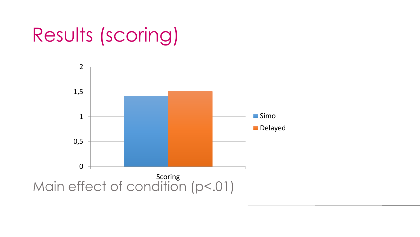### Results (scoring)

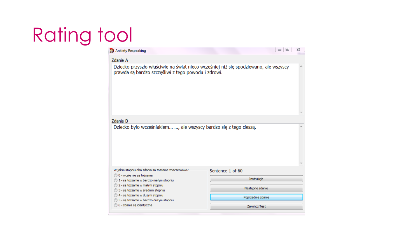# Rating tool

| Zdanie A                                                                                                    |                                                                                      |  |
|-------------------------------------------------------------------------------------------------------------|--------------------------------------------------------------------------------------|--|
| prawda są bardzo szczęśliwi z tego powodu i zdrowi.                                                         | Dziecko przyszło właściwie na świat nieco wcześniej niż się spodziewano, ale wszyscy |  |
|                                                                                                             |                                                                                      |  |
| Zdanie B                                                                                                    |                                                                                      |  |
| Dziecko było wcześniakiem , ale wszyscy bardzo się z tego cieszą.                                           |                                                                                      |  |
|                                                                                                             |                                                                                      |  |
| W jakim stopniu oba zdania sa tożsame znaczeniowo?                                                          | Sentence 1 of 60                                                                     |  |
| 0 0 - wcale nie są tożsame                                                                                  | Instrukcje                                                                           |  |
| 1 - sa tożsame w bardzo małym stopniu<br>2 - są tożsame w małym stopniu<br>3 - są tożsame w średnim stopniu | Następne zdanie                                                                      |  |
| 4 - są tożsame w dużym stopniu<br>5 - są tożsame w bardzo dużym stopniu                                     | Poprzednie zdanie                                                                    |  |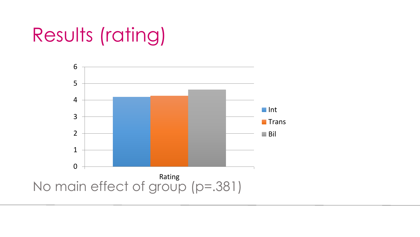### Results (rating)

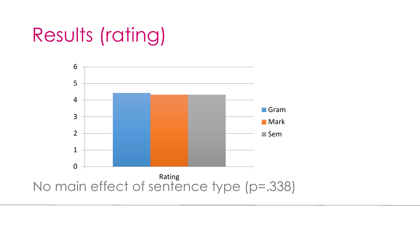## Results (rating)

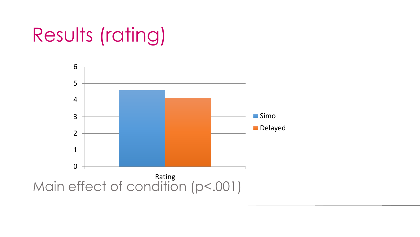## Results (rating)

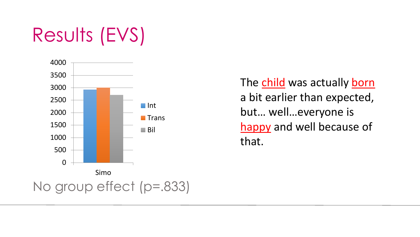### Results (EVS)



The child was actually born a bit earlier than expected, but… well…everyone is happy and well because of that.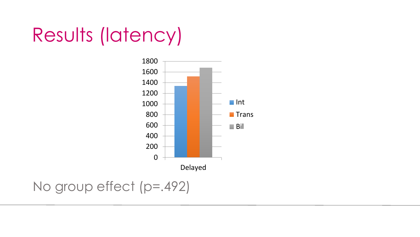#### Results (latency)



No group effect (p=.492)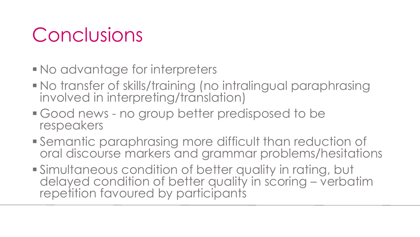### Conclusions

- No advantage for interpreters
- No transfer of skills/training (no intralingual paraphrasing involved in interpreting/translation)
- Good news no group better predisposed to be respeakers
- Semantic paraphrasing more difficult than reduction of oral discourse markers and grammar problems/hesitations
- Simultaneous condition of better quality in rating, but delayed condition of better quality in scoring – verbatim repetition favoured by participants